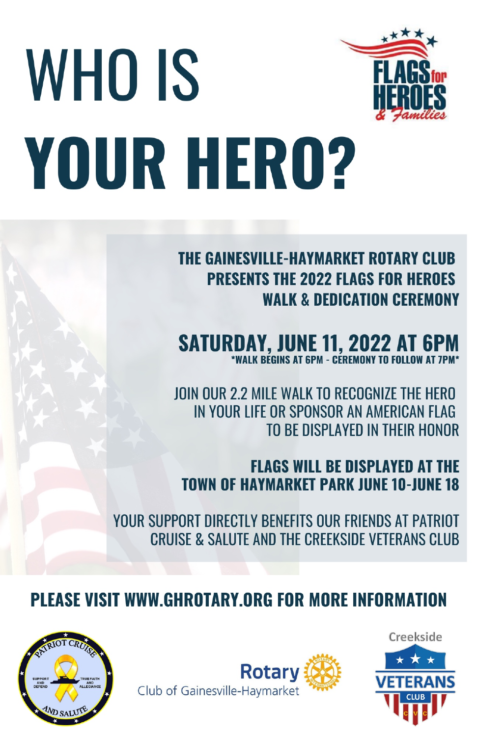

# **WHO IS YOUR HERO?**

**THE GAINESVILLE-HAYMARKET ROTARY CLUB PRESENTS THE 2022 FLAGS FOR HEROES WAIK & DEDICATION CEREMONY** 

**SATURDAY, JUNE 11, 2022 AT 6PM**<br>**EXACTLY AND THE SEGINS AT GPM - CEREMONY TO FOLLOW AT 7PM** 

JOIN OUR 2.2 MILE WALK TO RECOGNIZE THE HERO IN YOUR LIFE OR SPONSOR AN AMERICAN FLAG TO BE DISPLAYED IN THEIR HONOR

**FLAGS WILL BE DISPLAYED AT THE TOWN OF HAYMARKET PARK JUNE 10-JUNE 18** 

YOUR SUPPORT DIRECTLY BENEFITS OUR FRIENDS AT PATRIOT CRUISE & SALUTE AND THE CREEKSIDE VETERANS CLUB

### PLEASE VISIT WWW.GHROTARY.ORG FOR MORE INFORMATION